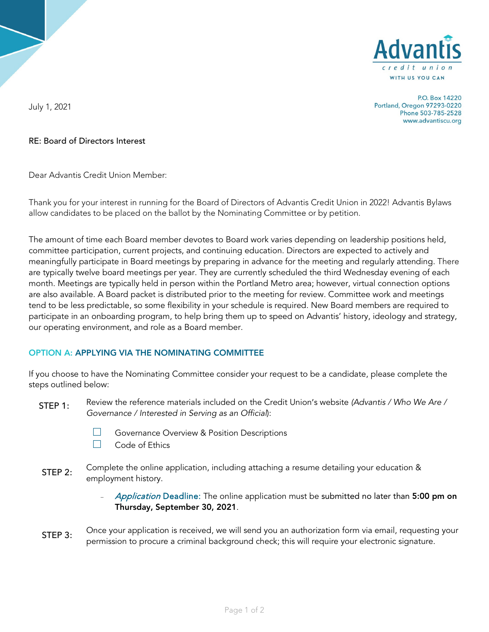

P.O. Box 14220 Portland, Oregon 97293-0220 Phone 503-785-2528 www.advantiscu.org

July 1, 2021

## RE: Board of Directors Interest

Dear Advantis Credit Union Member:

Thank you for your interest in running for the Board of Directors of Advantis Credit Union in 2022! Advantis Bylaws allow candidates to be placed on the ballot by the Nominating Committee or by petition.

The amount of time each Board member devotes to Board work varies depending on leadership positions held, committee participation, current projects, and continuing education. Directors are expected to actively and meaningfully participate in Board meetings by preparing in advance for the meeting and regularly attending. There are typically twelve board meetings per year. They are currently scheduled the third Wednesday evening of each month. Meetings are typically held in person within the Portland Metro area; however, virtual connection options are also available. A Board packet is distributed prior to the meeting for review. Committee work and meetings tend to be less predictable, so some flexibility in your schedule is required. New Board members are required to participate in an onboarding program, to help bring them up to speed on Advantis' history, ideology and strategy, our operating environment, and role as a Board member.

## OPTION A: APPLYING VIA THE NOMINATING COMMITTEE

If you choose to have the Nominating Committee consider your request to be a candidate, please complete the steps outlined below:

- Review the reference materials included on the Credit Union's website *(Advantis / Who We Are / Governance / Interested in Serving as an Official*): STEP 1:
	-
- □ Governance Overview & Position Descriptions<br>□ Code of Ethics
	- Code of Ethics
- Complete the online application, including attaching a resume detailing your education & employment history. STEP 2:

Application Deadline: The online application must be submitted no later than 5:00 pm on Thursday, September 30, 2021.

Once your application is received, we will send you an authorization form via email, requesting your permission to procure a criminal background check; this will require your electronic signature. STEP 3: